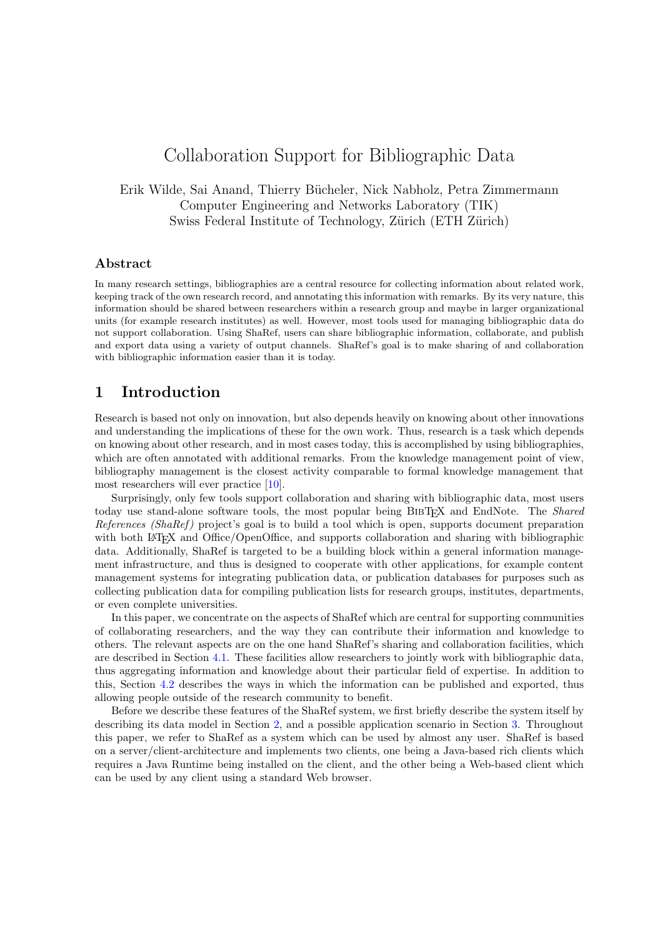# Collaboration Support for Bibliographic Data

### Erik Wilde, Sai Anand, Thierry B¨ucheler, Nick Nabholz, Petra Zimmermann Computer Engineering and Networks Laboratory (TIK) Swiss Federal Institute of Technology, Zürich (ETH Zürich)

#### Abstract

In many research settings, bibliographies are a central resource for collecting information about related work, keeping track of the own research record, and annotating this information with remarks. By its very nature, this information should be shared between researchers within a research group and maybe in larger organizational units (for example research institutes) as well. However, most tools used for managing bibliographic data do not support collaboration. Using ShaRef, users can share bibliographic information, collaborate, and publish and export data using a variety of output channels. ShaRef's goal is to make sharing of and collaboration with bibliographic information easier than it is today.

### 1 Introduction

Research is based not only on innovation, but also depends heavily on knowing about other innovations and understanding the implications of these for the own work. Thus, research is a task which depends on knowing about other research, and in most cases today, this is accomplished by using bibliographies, which are often annotated with additional remarks. From the knowledge management point of view, bibliography management is the closest activity comparable to formal knowledge management that most researchers will ever practice [\[10\]](#page-7-0).

Surprisingly, only few tools support collaboration and sharing with bibliographic data, most users today use stand-alone software tools, the most popular being BIBT<sub>EX</sub> and EndNote. The Shared References (ShaRef) project's goal is to build a tool which is open, supports document preparation with both L<sup>A</sup>T<sub>EX</sub> and Office/OpenOffice, and supports collaboration and sharing with bibliographic data. Additionally, ShaRef is targeted to be a building block within a general information management infrastructure, and thus is designed to cooperate with other applications, for example content management systems for integrating publication data, or publication databases for purposes such as collecting publication data for compiling publication lists for research groups, institutes, departments, or even complete universities.

In this paper, we concentrate on the aspects of ShaRef which are central for supporting communities of collaborating researchers, and the way they can contribute their information and knowledge to others. The relevant aspects are on the one hand ShaRef's sharing and collaboration facilities, which are described in Section [4.1.](#page-4-0) These facilities allow researchers to jointly work with bibliographic data, thus aggregating information and knowledge about their particular field of expertise. In addition to this, Section [4.2](#page-5-0) describes the ways in which the information can be published and exported, thus allowing people outside of the research community to benefit.

Before we describe these features of the ShaRef system, we first briefly describe the system itself by describing its data model in Section [2,](#page-1-0) and a possible application scenario in Section [3.](#page-2-0) Throughout this paper, we refer to ShaRef as a system which can be used by almost any user. ShaRef is based on a server/client-architecture and implements two clients, one being a Java-based rich clients which requires a Java Runtime being installed on the client, and the other being a Web-based client which can be used by any client using a standard Web browser.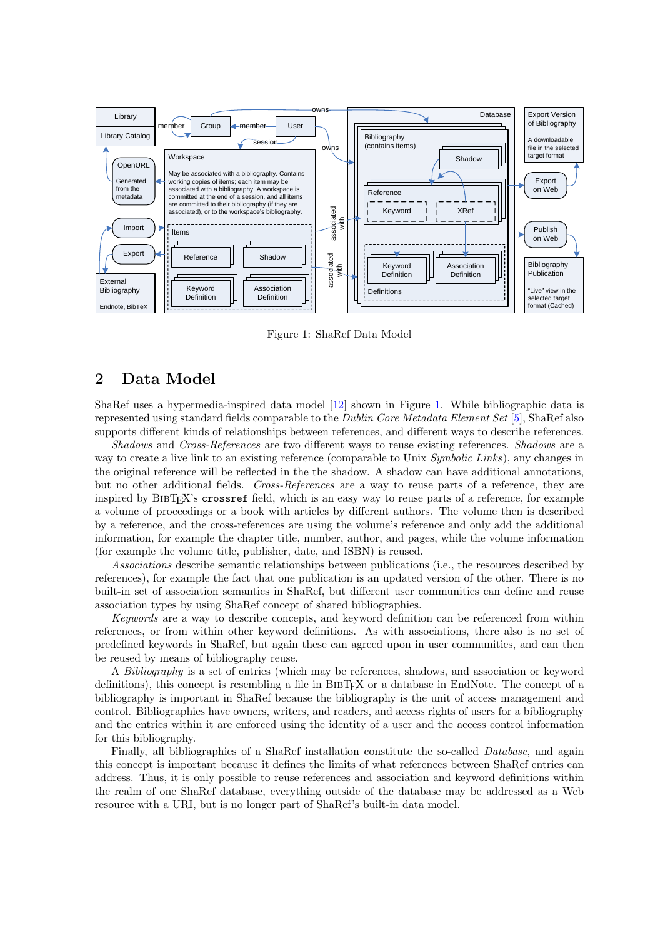<span id="page-1-0"></span>

Figure 1: ShaRef Data Model

# 2 Data Model

ShaRef uses a hypermedia-inspired data model [\[12\]](#page-7-0) shown in Figure 1. While bibliographic data is represented using standard fields comparable to the Dublin Core Metadata Element Set [\[5\]](#page-7-0), ShaRef also supports different kinds of relationships between references, and different ways to describe references.

Shadows and Cross-References are two different ways to reuse existing references. Shadows are a way to create a live link to an existing reference (comparable to Unix Symbolic Links), any changes in the original reference will be reflected in the the shadow. A shadow can have additional annotations, but no other additional fields. Cross-References are a way to reuse parts of a reference, they are inspired by BIBTEX's crossref field, which is an easy way to reuse parts of a reference, for example a volume of proceedings or a book with articles by different authors. The volume then is described by a reference, and the cross-references are using the volume's reference and only add the additional information, for example the chapter title, number, author, and pages, while the volume information (for example the volume title, publisher, date, and ISBN) is reused.

Associations describe semantic relationships between publications (i.e., the resources described by references), for example the fact that one publication is an updated version of the other. There is no built-in set of association semantics in ShaRef, but different user communities can define and reuse association types by using ShaRef concept of shared bibliographies.

Keywords are a way to describe concepts, and keyword definition can be referenced from within references, or from within other keyword definitions. As with associations, there also is no set of predefined keywords in ShaRef, but again these can agreed upon in user communities, and can then be reused by means of bibliography reuse.

A Bibliography is a set of entries (which may be references, shadows, and association or keyword definitions), this concept is resembling a file in BIBT<sub>EX</sub> or a database in EndNote. The concept of a bibliography is important in ShaRef because the bibliography is the unit of access management and control. Bibliographies have owners, writers, and readers, and access rights of users for a bibliography and the entries within it are enforced using the identity of a user and the access control information for this bibliography.

Finally, all bibliographies of a ShaRef installation constitute the so-called Database, and again this concept is important because it defines the limits of what references between ShaRef entries can address. Thus, it is only possible to reuse references and association and keyword definitions within the realm of one ShaRef database, everything outside of the database may be addressed as a Web resource with a URI, but is no longer part of ShaRef's built-in data model.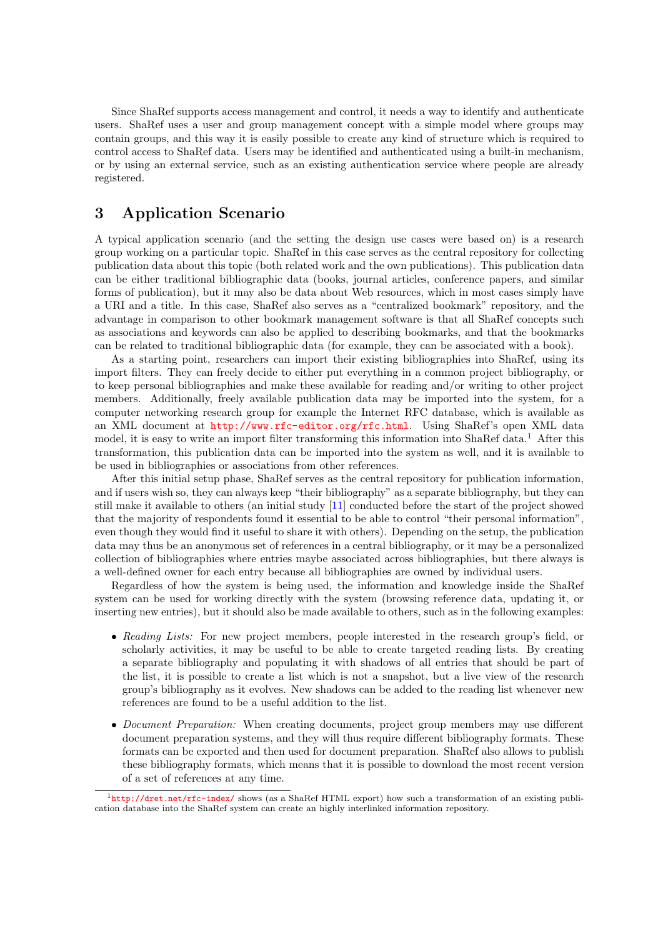<span id="page-2-0"></span>Since ShaRef supports access management and control, it needs a way to identify and authenticate users. ShaRef uses a user and group management concept with a simple model where groups may contain groups, and this way it is easily possible to create any kind of structure which is required to control access to ShaRef data. Users may be identified and authenticated using a built-in mechanism, or by using an external service, such as an existing authentication service where people are already registered.

# 3 Application Scenario

A typical application scenario (and the setting the design use cases were based on) is a research group working on a particular topic. ShaRef in this case serves as the central repository for collecting publication data about this topic (both related work and the own publications). This publication data can be either traditional bibliographic data (books, journal articles, conference papers, and similar forms of publication), but it may also be data about Web resources, which in most cases simply have a URI and a title. In this case, ShaRef also serves as a "centralized bookmark" repository, and the advantage in comparison to other bookmark management software is that all ShaRef concepts such as associations and keywords can also be applied to describing bookmarks, and that the bookmarks can be related to traditional bibliographic data (for example, they can be associated with a book).

As a starting point, researchers can import their existing bibliographies into ShaRef, using its import filters. They can freely decide to either put everything in a common project bibliography, or to keep personal bibliographies and make these available for reading and/or writing to other project members. Additionally, freely available publication data may be imported into the system, for a computer networking research group for example the Internet RFC database, which is available as an XML document at <http://www.rfc-editor.org/rfc.html>. Using ShaRef's open XML data model, it is easy to write an import filter transforming this information into ShaRef data.<sup>1</sup> After this transformation, this publication data can be imported into the system as well, and it is available to be used in bibliographies or associations from other references.

After this initial setup phase, ShaRef serves as the central repository for publication information, and if users wish so, they can always keep "their bibliography" as a separate bibliography, but they can still make it available to others (an initial study [\[11\]](#page-7-0) conducted before the start of the project showed that the majority of respondents found it essential to be able to control "their personal information", even though they would find it useful to share it with others). Depending on the setup, the publication data may thus be an anonymous set of references in a central bibliography, or it may be a personalized collection of bibliographies where entries maybe associated across bibliographies, but there always is a well-defined owner for each entry because all bibliographies are owned by individual users.

Regardless of how the system is being used, the information and knowledge inside the ShaRef system can be used for working directly with the system (browsing reference data, updating it, or inserting new entries), but it should also be made available to others, such as in the following examples:

- Reading Lists: For new project members, people interested in the research group's field, or scholarly activities, it may be useful to be able to create targeted reading lists. By creating a separate bibliography and populating it with shadows of all entries that should be part of the list, it is possible to create a list which is not a snapshot, but a live view of the research group's bibliography as it evolves. New shadows can be added to the reading list whenever new references are found to be a useful addition to the list.
- Document Preparation: When creating documents, project group members may use different document preparation systems, and they will thus require different bibliography formats. These formats can be exported and then used for document preparation. ShaRef also allows to publish these bibliography formats, which means that it is possible to download the most recent version of a set of references at any time.

<sup>&</sup>lt;sup>1</sup><http://dret.net/rfc-index/> shows (as a ShaRef HTML export) how such a transformation of an existing publication database into the ShaRef system can create an highly interlinked information repository.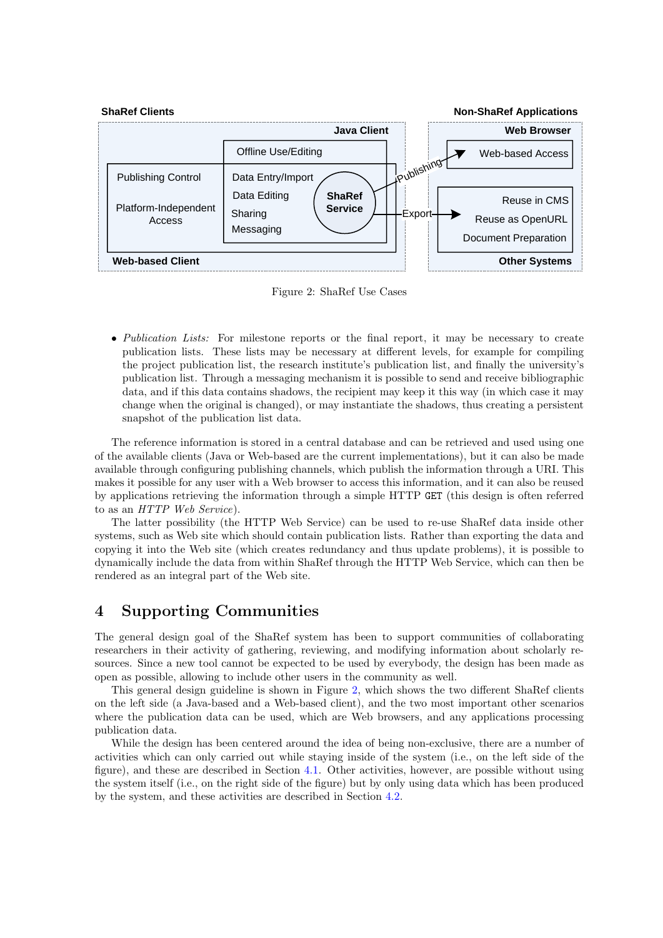

Figure 2: ShaRef Use Cases

• Publication Lists: For milestone reports or the final report, it may be necessary to create publication lists. These lists may be necessary at different levels, for example for compiling the project publication list, the research institute's publication list, and finally the university's publication list. Through a messaging mechanism it is possible to send and receive bibliographic data, and if this data contains shadows, the recipient may keep it this way (in which case it may change when the original is changed), or may instantiate the shadows, thus creating a persistent snapshot of the publication list data.

The reference information is stored in a central database and can be retrieved and used using one of the available clients (Java or Web-based are the current implementations), but it can also be made available through configuring publishing channels, which publish the information through a URI. This makes it possible for any user with a Web browser to access this information, and it can also be reused by applications retrieving the information through a simple HTTP GET (this design is often referred to as an HTTP Web Service).

The latter possibility (the HTTP Web Service) can be used to re-use ShaRef data inside other systems, such as Web site which should contain publication lists. Rather than exporting the data and copying it into the Web site (which creates redundancy and thus update problems), it is possible to dynamically include the data from within ShaRef through the HTTP Web Service, which can then be rendered as an integral part of the Web site.

### 4 Supporting Communities

The general design goal of the ShaRef system has been to support communities of collaborating researchers in their activity of gathering, reviewing, and modifying information about scholarly resources. Since a new tool cannot be expected to be used by everybody, the design has been made as open as possible, allowing to include other users in the community as well.

This general design guideline is shown in Figure 2, which shows the two different ShaRef clients on the left side (a Java-based and a Web-based client), and the two most important other scenarios where the publication data can be used, which are Web browsers, and any applications processing publication data.

While the design has been centered around the idea of being non-exclusive, there are a number of activities which can only carried out while staying inside of the system (i.e., on the left side of the figure), and these are described in Section [4.1.](#page-4-0) Other activities, however, are possible without using the system itself (i.e., on the right side of the figure) but by only using data which has been produced by the system, and these activities are described in Section [4.2.](#page-5-0)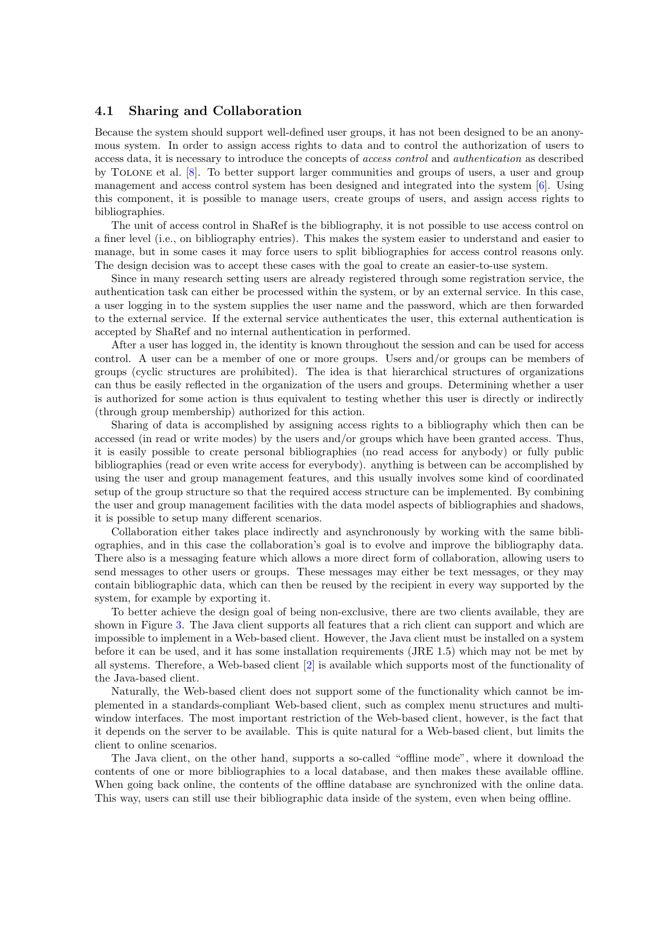#### <span id="page-4-0"></span>4.1 Sharing and Collaboration

Because the system should support well-defined user groups, it has not been designed to be an anonymous system. In order to assign access rights to data and to control the authorization of users to access data, it is necessary to introduce the concepts of access control and authentication as described by Tolone et al. [\[8\]](#page-7-0). To better support larger communities and groups of users, a user and group management and access control system has been designed and integrated into the system [\[6\]](#page-7-0). Using this component, it is possible to manage users, create groups of users, and assign access rights to bibliographies.

The unit of access control in ShaRef is the bibliography, it is not possible to use access control on a finer level (i.e., on bibliography entries). This makes the system easier to understand and easier to manage, but in some cases it may force users to split bibliographies for access control reasons only. The design decision was to accept these cases with the goal to create an easier-to-use system.

Since in many research setting users are already registered through some registration service, the authentication task can either be processed within the system, or by an external service. In this case, a user logging in to the system supplies the user name and the password, which are then forwarded to the external service. If the external service authenticates the user, this external authentication is accepted by ShaRef and no internal authentication in performed.

After a user has logged in, the identity is known throughout the session and can be used for access control. A user can be a member of one or more groups. Users and/or groups can be members of groups (cyclic structures are prohibited). The idea is that hierarchical structures of organizations can thus be easily reflected in the organization of the users and groups. Determining whether a user is authorized for some action is thus equivalent to testing whether this user is directly or indirectly (through group membership) authorized for this action.

Sharing of data is accomplished by assigning access rights to a bibliography which then can be accessed (in read or write modes) by the users and/or groups which have been granted access. Thus, it is easily possible to create personal bibliographies (no read access for anybody) or fully public bibliographies (read or even write access for everybody). anything is between can be accomplished by using the user and group management features, and this usually involves some kind of coordinated setup of the group structure so that the required access structure can be implemented. By combining the user and group management facilities with the data model aspects of bibliographies and shadows, it is possible to setup many different scenarios.

Collaboration either takes place indirectly and asynchronously by working with the same bibliographies, and in this case the collaboration's goal is to evolve and improve the bibliography data. There also is a messaging feature which allows a more direct form of collaboration, allowing users to send messages to other users or groups. These messages may either be text messages, or they may contain bibliographic data, which can then be reused by the recipient in every way supported by the system, for example by exporting it.

To better achieve the design goal of being non-exclusive, there are two clients available, they are shown in Figure [3.](#page-5-0) The Java client supports all features that a rich client can support and which are impossible to implement in a Web-based client. However, the Java client must be installed on a system before it can be used, and it has some installation requirements (JRE 1.5) which may not be met by all systems. Therefore, a Web-based client [\[2\]](#page-7-0) is available which supports most of the functionality of the Java-based client.

Naturally, the Web-based client does not support some of the functionality which cannot be implemented in a standards-compliant Web-based client, such as complex menu structures and multiwindow interfaces. The most important restriction of the Web-based client, however, is the fact that it depends on the server to be available. This is quite natural for a Web-based client, but limits the client to online scenarios.

The Java client, on the other hand, supports a so-called "offline mode", where it download the contents of one or more bibliographies to a local database, and then makes these available offline. When going back online, the contents of the offline database are synchronized with the online data. This way, users can still use their bibliographic data inside of the system, even when being offline.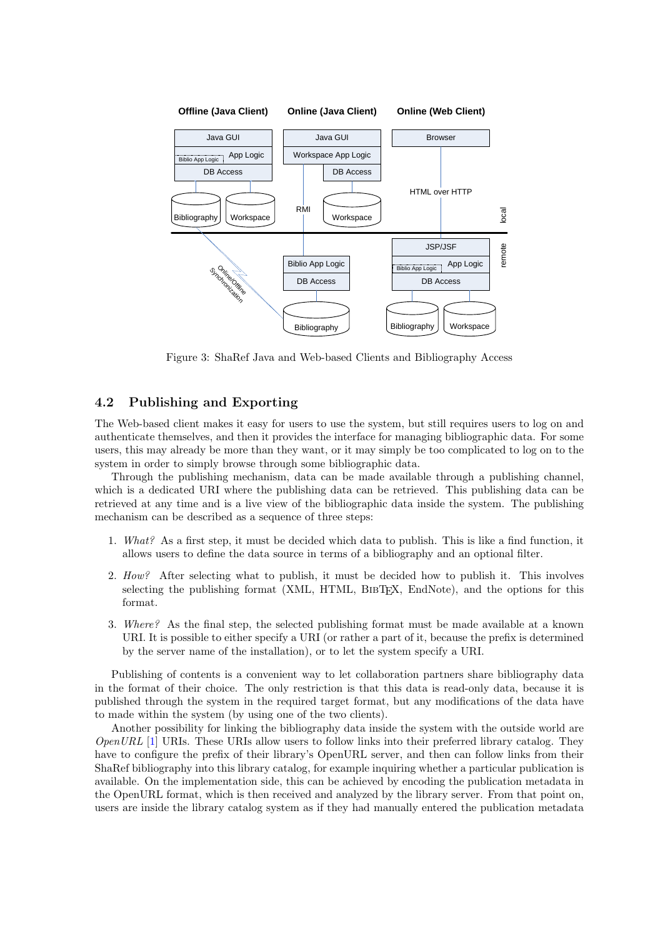<span id="page-5-0"></span>

Figure 3: ShaRef Java and Web-based Clients and Bibliography Access

#### 4.2 Publishing and Exporting

The Web-based client makes it easy for users to use the system, but still requires users to log on and authenticate themselves, and then it provides the interface for managing bibliographic data. For some users, this may already be more than they want, or it may simply be too complicated to log on to the system in order to simply browse through some bibliographic data.

Through the publishing mechanism, data can be made available through a publishing channel, which is a dedicated URI where the publishing data can be retrieved. This publishing data can be retrieved at any time and is a live view of the bibliographic data inside the system. The publishing mechanism can be described as a sequence of three steps:

- 1. What? As a first step, it must be decided which data to publish. This is like a find function, it allows users to define the data source in terms of a bibliography and an optional filter.
- 2. How? After selecting what to publish, it must be decided how to publish it. This involves selecting the publishing format (XML, HTML, BIBTEX, EndNote), and the options for this format.
- 3. Where? As the final step, the selected publishing format must be made available at a known URI. It is possible to either specify a URI (or rather a part of it, because the prefix is determined by the server name of the installation), or to let the system specify a URI.

Publishing of contents is a convenient way to let collaboration partners share bibliography data in the format of their choice. The only restriction is that this data is read-only data, because it is published through the system in the required target format, but any modifications of the data have to made within the system (by using one of the two clients).

Another possibility for linking the bibliography data inside the system with the outside world are *OpenURL* [\[1\]](#page-7-0) URIs. These URIs allow users to follow links into their preferred library catalog. They have to configure the prefix of their library's OpenURL server, and then can follow links from their ShaRef bibliography into this library catalog, for example inquiring whether a particular publication is available. On the implementation side, this can be achieved by encoding the publication metadata in the OpenURL format, which is then received and analyzed by the library server. From that point on, users are inside the library catalog system as if they had manually entered the publication metadata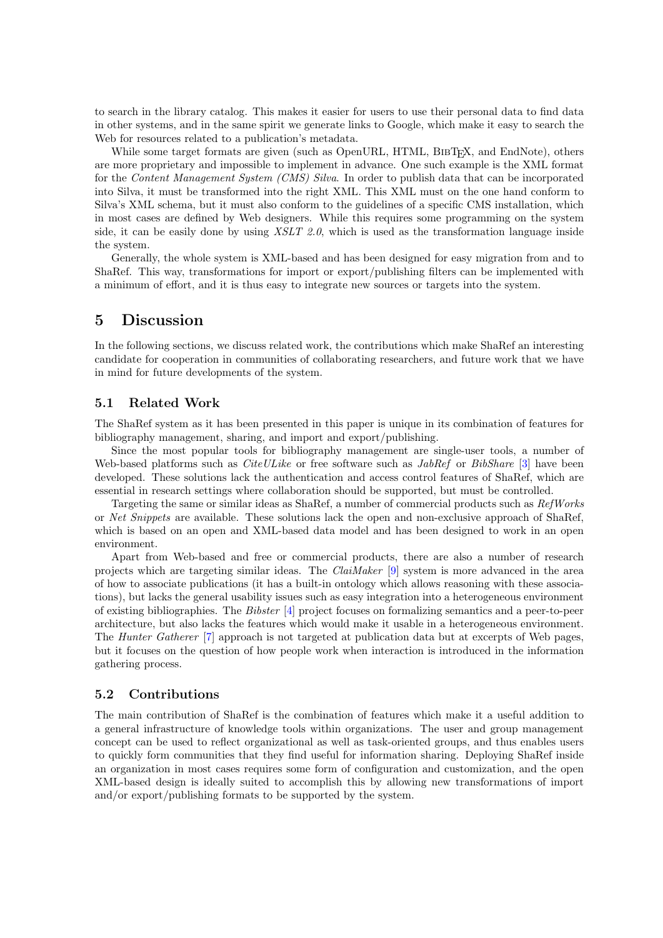to search in the library catalog. This makes it easier for users to use their personal data to find data in other systems, and in the same spirit we generate links to Google, which make it easy to search the Web for resources related to a publication's metadata.

While some target formats are given (such as OpenURL, HTML, BIBTEX, and EndNote), others are more proprietary and impossible to implement in advance. One such example is the XML format for the Content Management System (CMS) Silva. In order to publish data that can be incorporated into Silva, it must be transformed into the right XML. This XML must on the one hand conform to Silva's XML schema, but it must also conform to the guidelines of a specific CMS installation, which in most cases are defined by Web designers. While this requires some programming on the system side, it can be easily done by using  $XSLT$  2.0, which is used as the transformation language inside the system.

Generally, the whole system is XML-based and has been designed for easy migration from and to ShaRef. This way, transformations for import or export/publishing filters can be implemented with a minimum of effort, and it is thus easy to integrate new sources or targets into the system.

### 5 Discussion

In the following sections, we discuss related work, the contributions which make ShaRef an interesting candidate for cooperation in communities of collaborating researchers, and future work that we have in mind for future developments of the system.

#### 5.1 Related Work

The ShaRef system as it has been presented in this paper is unique in its combination of features for bibliography management, sharing, and import and export/publishing.

Since the most popular tools for bibliography management are single-user tools, a number of Web-based platforms such as  $CiteULike$  or free software such as  $JabRef$  or  $BibShare$  [\[3\]](#page-7-0) have been developed. These solutions lack the authentication and access control features of ShaRef, which are essential in research settings where collaboration should be supported, but must be controlled.

Targeting the same or similar ideas as ShaRef, a number of commercial products such as RefWorks or Net Snippets are available. These solutions lack the open and non-exclusive approach of ShaRef, which is based on an open and XML-based data model and has been designed to work in an open environment.

Apart from Web-based and free or commercial products, there are also a number of research projects which are targeting similar ideas. The ClaiMaker [\[9\]](#page-7-0) system is more advanced in the area of how to associate publications (it has a built-in ontology which allows reasoning with these associations), but lacks the general usability issues such as easy integration into a heterogeneous environment of existing bibliographies. The Bibster [\[4\]](#page-7-0) project focuses on formalizing semantics and a peer-to-peer architecture, but also lacks the features which would make it usable in a heterogeneous environment. The Hunter Gatherer [\[7\]](#page-7-0) approach is not targeted at publication data but at excerpts of Web pages, but it focuses on the question of how people work when interaction is introduced in the information gathering process.

#### 5.2 Contributions

The main contribution of ShaRef is the combination of features which make it a useful addition to a general infrastructure of knowledge tools within organizations. The user and group management concept can be used to reflect organizational as well as task-oriented groups, and thus enables users to quickly form communities that they find useful for information sharing. Deploying ShaRef inside an organization in most cases requires some form of configuration and customization, and the open XML-based design is ideally suited to accomplish this by allowing new transformations of import and/or export/publishing formats to be supported by the system.